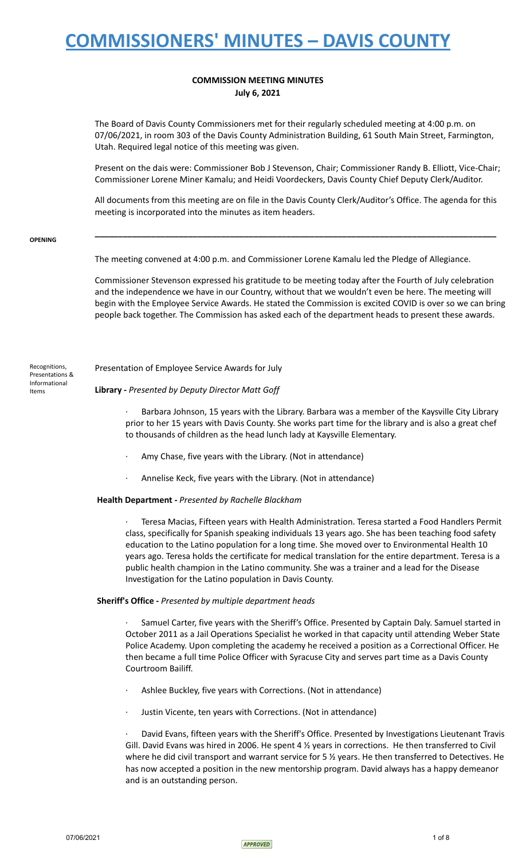### **COMMISSION MEETING MINUTES July 6, 2021**

The Board of Davis County Commissioners met for their regularly scheduled meeting at 4:00 p.m. on 07/06/2021, in room 303 of the Davis County Administration Building, 61 South Main Street, Farmington, Utah. Required legal notice of this meeting was given.

Present on the dais were: Commissioner Bob J Stevenson, Chair; Commissioner Randy B. Elliott, Vice-Chair; Commissioner Lorene Miner Kamalu; and Heidi Voordeckers, Davis County Chief Deputy Clerk/Auditor.

All documents from this meeting are on file in the Davis County Clerk/Auditor's Office. The agenda for this meeting is incorporated into the minutes as item headers.

**\_\_\_\_\_\_\_\_\_\_\_\_\_\_\_\_\_\_\_\_\_\_\_\_\_\_\_\_\_\_\_\_\_\_\_\_\_\_\_\_\_\_\_\_\_\_\_\_\_\_\_\_\_\_\_\_\_\_\_\_\_\_\_\_\_\_\_\_\_\_\_\_\_\_\_\_\_\_\_\_\_\_\_\_\_\_**

#### **OPENING**

The meeting convened at 4:00 p.m. and Commissioner Lorene Kamalu led the Pledge of Allegiance.

Commissioner Stevenson expressed his gratitude to be meeting today after the Fourth of July celebration and the independence we have in our Country, without that we wouldn't even be here. The meeting will begin with the Employee Service Awards. He stated the Commission is excited COVID is over so we can bring people back together. The Commission has asked each of the department heads to present these awards.

Recognitions, Presentations & Informational Items

### Presentation of Employee Service Awards for July

### **Library -** *Presented by Deputy Director Matt Goff*

Barbara Johnson, 15 years with the Library. Barbara was a member of the Kaysville City Library prior to her 15 years with Davis County. She works part time for the library and is also a great chef to thousands of children as the head lunch lady at Kaysville Elementary.

- Amy Chase, five years with the Library. (Not in attendance)
- Annelise Keck, five years with the Library. (Not in attendance)

### **Health Department -** *Presented by Rachelle Blackham*

· Teresa Macias, Fifteen years with Health Administration. Teresa started a Food Handlers Permit class, specifically for Spanish speaking individuals 13 years ago. She has been teaching food safety education to the Latino population for a long time. She moved over to Environmental Health 10 years ago. Teresa holds the certificate for medical translation for the entire department. Teresa is a public health champion in the Latino community. She was a trainer and a lead for the Disease Investigation for the Latino population in Davis County.

### **Sheriff's Office -** *Presented by multiple department heads*

Samuel Carter, five years with the Sheriff's Office. Presented by Captain Daly. Samuel started in October 2011 as a Jail Operations Specialist he worked in that capacity until attending Weber State Police Academy. Upon completing the academy he received a position as a Correctional Officer. He then became a full time Police Officer with Syracuse City and serves part time as a Davis County Courtroom Bailiff.

- Ashlee Buckley, five years with Corrections. (Not in attendance)
- Justin Vicente, ten years with Corrections. (Not in attendance)

· David Evans, fifteen years with the Sheriff's Office. Presented by Investigations Lieutenant Travis Gill. David Evans was hired in 2006. He spent 4  $\frac{1}{2}$  years in corrections. He then transferred to Civil where he did civil transport and warrant service for 5  $\frac{1}{2}$  years. He then transferred to Detectives. He has now accepted a position in the new mentorship program. David always has a happy demeanor and is an outstanding person.

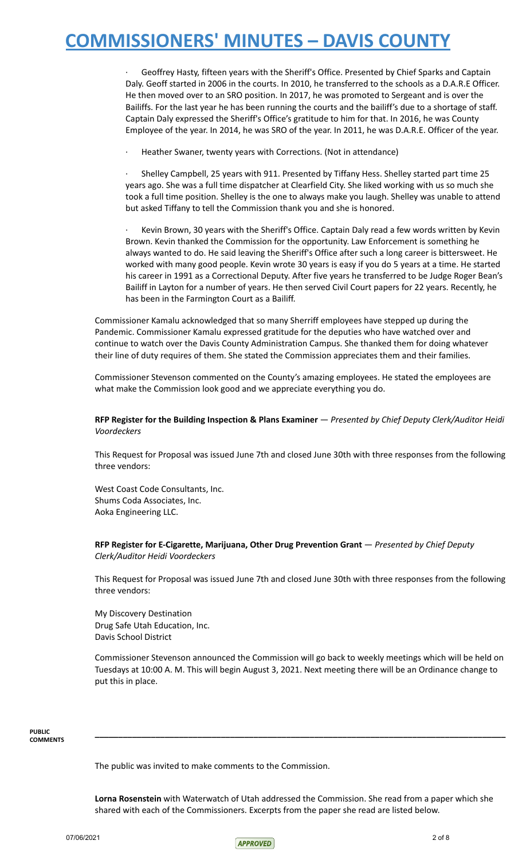Geoffrey Hasty, fifteen years with the Sheriff's Office. Presented by Chief Sparks and Captain Daly. Geoff started in 2006 in the courts. In 2010, he transferred to the schools as a D.A.R.E Officer. He then moved over to an SRO position. In 2017, he was promoted to Sergeant and is over the Bailiffs. For the last year he has been running the courts and the bailiff's due to a shortage of staff. Captain Daly expressed the Sheriff's Office's gratitude to him for that. In 2016, he was County Employee of the year. In 2014, he was SRO of the year. In 2011, he was D.A.R.E. Officer of the year.

Heather Swaner, twenty years with Corrections. (Not in attendance)

· Shelley Campbell, 25 years with 911. Presented by Tiffany Hess. Shelley started part time 25 years ago. She was a full time dispatcher at Clearfield City. She liked working with us so much she took a full time position. Shelley is the one to always make you laugh. Shelley was unable to attend but asked Tiffany to tell the Commission thank you and she is honored.

Kevin Brown, 30 years with the Sheriff's Office. Captain Daly read a few words written by Kevin Brown. Kevin thanked the Commission for the opportunity. Law Enforcement is something he always wanted to do. He said leaving the Sheriff's Office after such a long career is bittersweet. He worked with many good people. Kevin wrote 30 years is easy if you do 5 years at a time. He started his career in 1991 as a Correctional Deputy. After five years he transferred to be Judge Roger Bean's Bailiff in Layton for a number of years. He then served Civil Court papers for 22 years. Recently, he has been in the Farmington Court as a Bailiff.

Commissioner Kamalu acknowledged that so many Sherriff employees have stepped up during the Pandemic. Commissioner Kamalu expressed gratitude for the deputies who have watched over and continue to watch over the Davis County Administration Campus. She thanked them for doing whatever their line of duty requires of them. She stated the Commission appreciates them and their families.

Commissioner Stevenson commented on the County's amazing employees. He stated the employees are what make the Commission look good and we appreciate everything you do.

### **RFP Register for the Building Inspection & Plans Examiner** — *Presented by Chief Deputy Clerk/Auditor Heidi Voordeckers*

This Request for Proposal was issued June 7th and closed June 30th with three responses from the following three vendors:

West Coast Code Consultants, Inc. Shums Coda Associates, Inc. Aoka Engineering LLC.

**RFP Register for E-Cigarette, Marijuana, Other Drug Prevention Grant** — *Presented by Chief Deputy Clerk/Auditor Heidi Voordeckers*

This Request for Proposal was issued June 7th and closed June 30th with three responses from the following three vendors:

My Discovery Destination Drug Safe Utah Education, Inc. Davis School District

Commissioner Stevenson announced the Commission will go back to weekly meetings which will be held on Tuesdays at 10:00 A. M. This will begin August 3, 2021. Next meeting there will be an Ordinance change to put this in place.

**\_\_\_\_\_\_\_\_\_\_\_\_\_\_\_\_\_\_\_\_\_\_\_\_\_\_\_\_\_\_\_\_\_\_\_\_\_\_\_\_\_\_\_\_\_\_\_\_\_\_\_\_\_\_\_\_\_\_\_\_\_\_\_\_\_\_\_\_\_\_\_\_\_\_\_\_\_\_\_\_\_\_\_\_\_\_\_\_**

**PUBLIC COMMENTS**

The public was invited to make comments to the Commission.

**Lorna Rosenstein** with Waterwatch of Utah addressed the Commission. She read from a paper which she shared with each of the Commissioners. Excerpts from the paper she read are listed below.

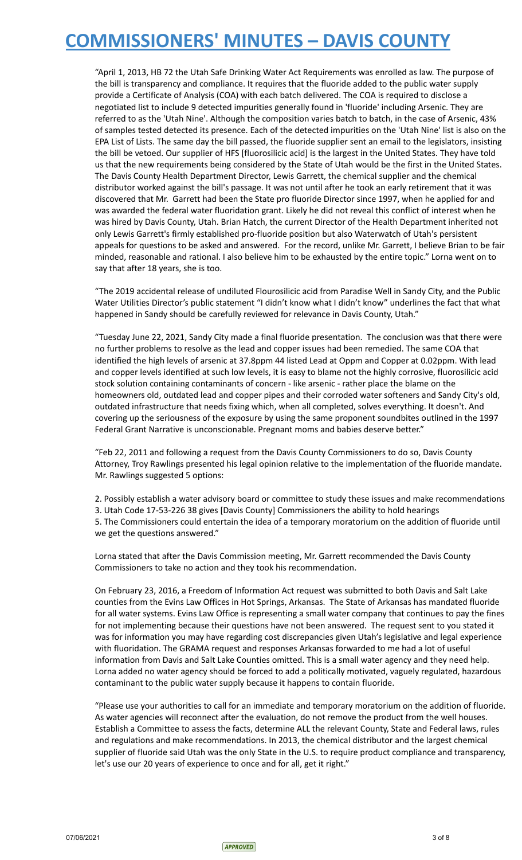"April 1, 2013, HB 72 the Utah Safe Drinking Water Act Requirements was enrolled as law. The purpose of the bill is transparency and compliance. It requires that the fluoride added to the public water supply provide a Certificate of Analysis (COA) with each batch delivered. The COA is required to disclose a negotiated list to include 9 detected impurities generally found in 'fluoride' including Arsenic. They are referred to as the 'Utah Nine'. Although the composition varies batch to batch, in the case of Arsenic, 43% of samples tested detected its presence. Each of the detected impurities on the 'Utah Nine' list is also on the EPA List of Lists. The same day the bill passed, the fluoride supplier sent an email to the legislators, insisting the bill be vetoed. Our supplier of HFS [fluorosilicic acid] is the largest in the United States. They have told us that the new requirements being considered by the State of Utah would be the first in the United States. The Davis County Health Department Director, Lewis Garrett, the chemical supplier and the chemical distributor worked against the bill's passage. It was not until after he took an early retirement that it was discovered that Mr. Garrett had been the State pro fluoride Director since 1997, when he applied for and was awarded the federal water fluoridation grant. Likely he did not reveal this conflict of interest when he was hired by Davis County, Utah. Brian Hatch, the current Director of the Health Department inherited not only Lewis Garrett's firmly established pro-fluoride position but also Waterwatch of Utah's persistent appeals for questions to be asked and answered. For the record, unlike Mr. Garrett, I believe Brian to be fair minded, reasonable and rational. I also believe him to be exhausted by the entire topic." Lorna went on to say that after 18 years, she is too.

"The 2019 accidental release of undiluted Flourosilicic acid from Paradise Well in Sandy City, and the Public Water Utilities Director's public statement "I didn't know what I didn't know" underlines the fact that what happened in Sandy should be carefully reviewed for relevance in Davis County, Utah."

"Tuesday June 22, 2021, Sandy City made a final fluoride presentation. The conclusion was that there were no further problems to resolve as the lead and copper issues had been remedied. The same COA that identified the high levels of arsenic at 37.8ppm 44 listed Lead at Oppm and Copper at 0.02ppm. With lead and copper levels identified at such low levels, it is easy to blame not the highly corrosive, fluorosilicic acid stock solution containing contaminants of concern - like arsenic - rather place the blame on the homeowners old, outdated lead and copper pipes and their corroded water softeners and Sandy City's old, outdated infrastructure that needs fixing which, when all completed, solves everything. It doesn't. And covering up the seriousness of the exposure by using the same proponent soundbites outlined in the 1997 Federal Grant Narrative is unconscionable. Pregnant moms and babies deserve better."

"Feb 22, 2011 and following a request from the Davis County Commissioners to do so, Davis County Attorney, Troy Rawlings presented his legal opinion relative to the implementation of the fluoride mandate. Mr. Rawlings suggested 5 options:

2. Possibly establish a water advisory board or committee to study these issues and make recommendations 3. Utah Code 17-53-226 38 gives [Davis County] Commissioners the ability to hold hearings 5. The Commissioners could entertain the idea of a temporary moratorium on the addition of fluoride until we get the questions answered."

Lorna stated that after the Davis Commission meeting, Mr. Garrett recommended the Davis County Commissioners to take no action and they took his recommendation.

On February 23, 2016, a Freedom of Information Act request was submitted to both Davis and Salt Lake counties from the Evins Law Offices in Hot Springs, Arkansas. The State of Arkansas has mandated fluoride for all water systems. Evins Law Office is representing a small water company that continues to pay the fines for not implementing because their questions have not been answered. The request sent to you stated it was for information you may have regarding cost discrepancies given Utah's legislative and legal experience with fluoridation. The GRAMA request and responses Arkansas forwarded to me had a lot of useful information from Davis and Salt Lake Counties omitted. This is a small water agency and they need help. Lorna added no water agency should be forced to add a politically motivated, vaguely regulated, hazardous contaminant to the public water supply because it happens to contain fluoride.

"Please use your authorities to call for an immediate and temporary moratorium on the addition of fluoride. As water agencies will reconnect after the evaluation, do not remove the product from the well houses. Establish a Committee to assess the facts, determine ALL the relevant County, State and Federal laws, rules and regulations and make recommendations. In 2013, the chemical distributor and the largest chemical supplier of fluoride said Utah was the only State in the U.S. to require product compliance and transparency, let's use our 20 years of experience to once and for all, get it right."

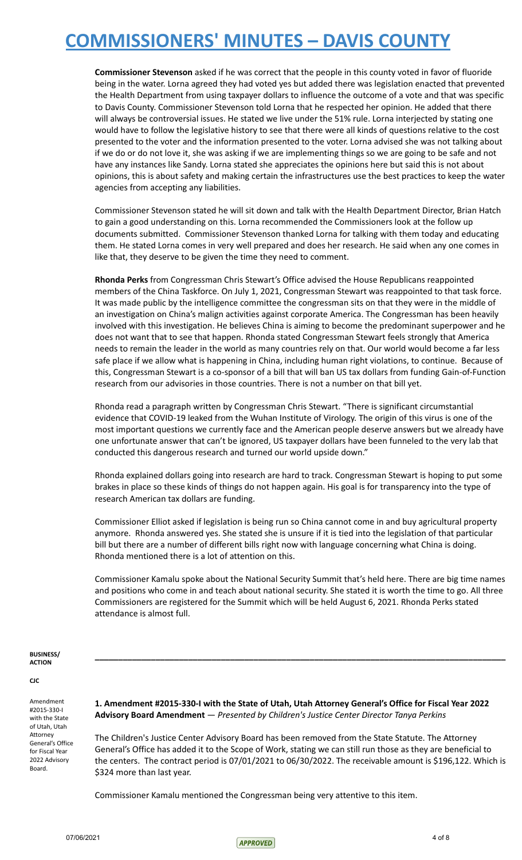**Commissioner Stevenson** asked if he was correct that the people in this county voted in favor of fluoride being in the water. Lorna agreed they had voted yes but added there was legislation enacted that prevented the Health Department from using taxpayer dollars to influence the outcome of a vote and that was specific to Davis County. Commissioner Stevenson told Lorna that he respected her opinion. He added that there will always be controversial issues. He stated we live under the 51% rule. Lorna interjected by stating one would have to follow the legislative history to see that there were all kinds of questions relative to the cost presented to the voter and the information presented to the voter. Lorna advised she was not talking about if we do or do not love it, she was asking if we are implementing things so we are going to be safe and not have any instances like Sandy. Lorna stated she appreciates the opinions here but said this is not about opinions, this is about safety and making certain the infrastructures use the best practices to keep the water agencies from accepting any liabilities.

Commissioner Stevenson stated he will sit down and talk with the Health Department Director, Brian Hatch to gain a good understanding on this. Lorna recommended the Commissioners look at the follow up documents submitted. Commissioner Stevenson thanked Lorna for talking with them today and educating them. He stated Lorna comes in very well prepared and does her research. He said when any one comes in like that, they deserve to be given the time they need to comment.

**Rhonda Perks** from Congressman Chris Stewart's Office advised the House Republicans reappointed members of the China Taskforce. On July 1, 2021, Congressman Stewart was reappointed to that task force. It was made public by the intelligence committee the congressman sits on that they were in the middle of an investigation on China's malign activities against corporate America. The Congressman has been heavily involved with this investigation. He believes China is aiming to become the predominant superpower and he does not want that to see that happen. Rhonda stated Congressman Stewart feels strongly that America needs to remain the leader in the world as many countries rely on that. Our world would become a far less safe place if we allow what is happening in China, including human right violations, to continue. Because of this, Congressman Stewart is a co-sponsor of a bill that will ban US tax dollars from funding Gain-of-Function research from our advisories in those countries. There is not a number on that bill yet.

Rhonda read a paragraph written by Congressman Chris Stewart. "There is significant circumstantial evidence that COVID-19 leaked from the Wuhan Institute of Virology. The origin of this virus is one of the most important questions we currently face and the American people deserve answers but we already have one unfortunate answer that can't be ignored, US taxpayer dollars have been funneled to the very lab that conducted this dangerous research and turned our world upside down."

Rhonda explained dollars going into research are hard to track. Congressman Stewart is hoping to put some brakes in place so these kinds of things do not happen again. His goal is for transparency into the type of research American tax dollars are funding.

Commissioner Elliot asked if legislation is being run so China cannot come in and buy agricultural property anymore. Rhonda answered yes. She stated she is unsure if it is tied into the legislation of that particular bill but there are a number of different bills right now with language concerning what China is doing. Rhonda mentioned there is a lot of attention on this.

Commissioner Kamalu spoke about the National Security Summit that's held here. There are big time names and positions who come in and teach about national security. She stated it is worth the time to go. All three Commissioners are registered for the Summit which will be held August 6, 2021. Rhonda Perks stated attendance is almost full.

**\_\_\_\_\_\_\_\_\_\_\_\_\_\_\_\_\_\_\_\_\_\_\_\_\_\_\_\_\_\_\_\_\_\_\_\_\_\_\_\_\_\_\_\_\_\_\_\_\_\_\_\_\_\_\_\_\_\_\_\_\_\_\_\_\_\_\_\_\_\_\_\_\_\_\_\_\_\_\_\_\_\_\_\_\_\_\_\_**

#### **BUSINESS/ ACTION**

#### **CJC**

Amendment #2015-330-I with the State of Utah, Utah Attorney General's Office for Fiscal Year 2022 Advisory Board.

**1. Amendment #2015-330-I with the State of Utah, Utah Attorney General's Office for Fiscal Year 2022 Advisory Board Amendment** — *Presented by Children's Justice Center Director Tanya Perkins*

The Children's Justice Center Advisory Board has been removed from the State Statute. The Attorney General's Office has added it to the Scope of Work, stating we can still run those as they are beneficial to the centers. The contract period is 07/01/2021 to 06/30/2022. The receivable amount is \$196,122. Which is \$324 more than last year.

Commissioner Kamalu mentioned the Congressman being very attentive to this item.

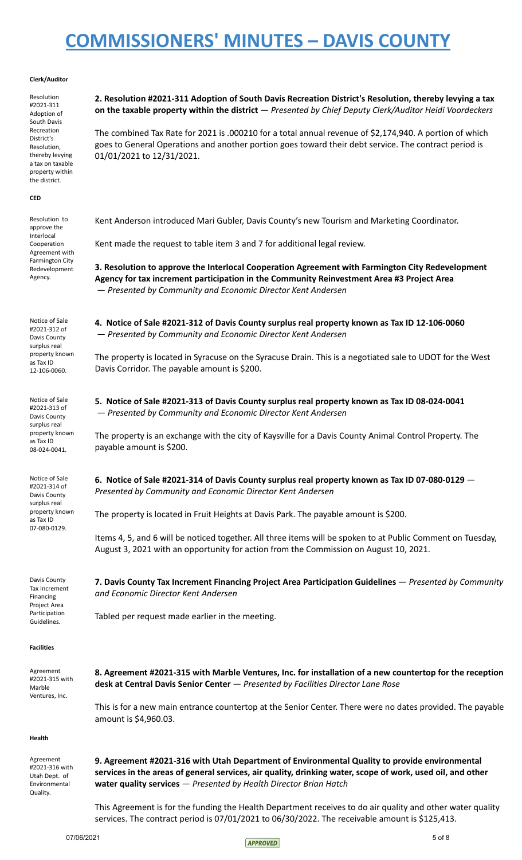#### **Clerk/Auditor**

Resolution #2021-311 Adoption of South Davis Recreation District's Resolution, thereby levying a tax on taxable property within the district.

#### **CED**

Resolution to approve the Interlocal Cooperation Agreement with Farmington City Redevelopment Agency.

Notice of Sale #2021-312 of Davis County surplus real property known as Tax ID 12-106-0060.

Notice of Sale #2021-313 of Davis County surplus real property known as Tax ID 08-024-0041.

Notice of Sale #2021-314 of Davis County surplus real property known as Tax ID 07-080-0129.

Davis County Tax Increment Financing Project Area Participation Guidelines.

**Facilities**

Agreement #2021-315 with Marble Ventures, Inc.

**desk at Central Davis Senior Center** — *Presented by Facilities Director Lane Rose*

This is for a new main entrance countertop at the Senior Center. There were no dates provided. The payable amount is \$4,960.03.

**Health**

Agreement #2021-316 with Utah Dept. of Environmental Quality.

**2. Resolution #2021-311 Adoption of South Davis Recreation District's Resolution, thereby levying a tax on the taxable property within the district** — *Presented by Chief Deputy Clerk/Auditor Heidi Voordeckers*

The combined Tax Rate for 2021 is .000210 for a total annual revenue of \$2,174,940. A portion of which goes to General Operations and another portion goes toward their debt service. The contract period is 01/01/2021 to 12/31/2021.

Kent Anderson introduced Mari Gubler, Davis County's new Tourism and Marketing Coordinator.

Kent made the request to table item 3 and 7 for additional legal review.

**3. Resolution to approve the Interlocal Cooperation Agreement with Farmington City Redevelopment Agency for tax increment participation in the Community Reinvestment Area #3 Project Area** — *Presented by Community and Economic Director Kent Andersen*

**4. Notice of Sale #2021-312 of Davis County surplus real property known as Tax ID 12-106-0060** — *Presented by Community and Economic Director Kent Andersen*

The property is located in Syracuse on the Syracuse Drain. This is a negotiated sale to UDOT for the West Davis Corridor. The payable amount is \$200.

**5. Notice of Sale #2021-313 of Davis County surplus real property known as Tax ID 08-024-0041** — *Presented by Community and Economic Director Kent Andersen*

The property is an exchange with the city of Kaysville for a Davis County Animal Control Property. The payable amount is \$200.

**6. Notice of Sale #2021-314 of Davis County surplus real property known as Tax ID 07-080-0129** — *Presented by Community and Economic Director Kent Andersen*

The property is located in Fruit Heights at Davis Park. The payable amount is \$200.

*and Economic Director Kent Andersen*

Tabled per request made earlier in the meeting.

Items 4, 5, and 6 will be noticed together. All three items will be spoken to at Public Comment on Tuesday, August 3, 2021 with an opportunity for action from the Commission on August 10, 2021.

**7. Davis County Tax Increment Financing Project Area Participation Guidelines** — *Presented by Community*

**8. Agreement #2021-315 with Marble Ventures, Inc. for installation of a new countertop for the reception**

**9. Agreement #2021-316 with Utah Department of Environmental Quality to provide environmental** services in the areas of general services, air quality, drinking water, scope of work, used oil, and other **water quality services** — *Presented by Health Director Brian Hatch*

This Agreement is for the funding the Health Department receives to do air quality and other water quality services. The contract period is 07/01/2021 to 06/30/2022. The receivable amount is \$125,413.

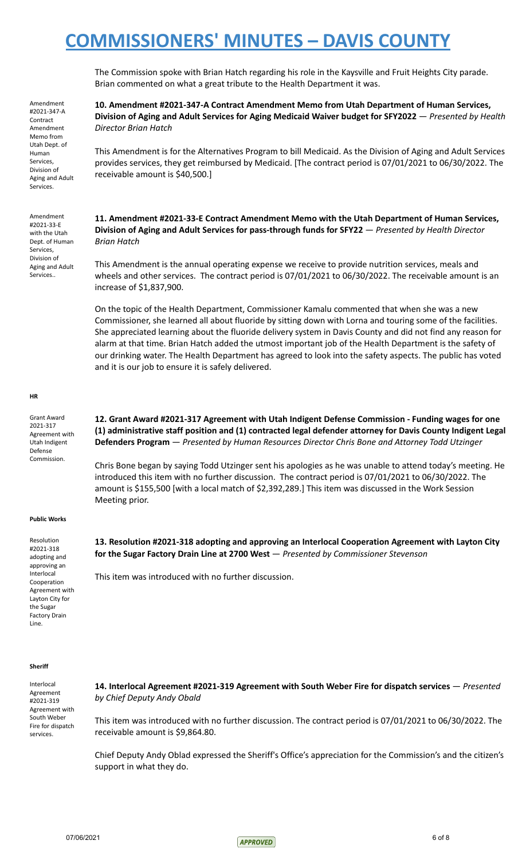The Commission spoke with Brian Hatch regarding his role in the Kaysville and Fruit Heights City parade. Brian commented on what a great tribute to the Health Department it was.

**10. Amendment #2021-347-A Contract Amendment Memo from Utah Department of Human Services, Division of Aging and Adult Services for Aging Medicaid Waiver budget for SFY2022** — *Presented by Health Director Brian Hatch*

This Amendment is for the Alternatives Program to bill Medicaid. As the Division of Aging and Adult Services provides services, they get reimbursed by Medicaid. [The contract period is 07/01/2021 to 06/30/2022. The receivable amount is \$40,500.]

**11. Amendment #2021-33-E Contract Amendment Memo with the Utah Department of Human Services, Division of Aging and Adult Services for pass-through funds for SFY22** — *Presented by Health Director Brian Hatch*

This Amendment is the annual operating expense we receive to provide nutrition services, meals and wheels and other services. The contract period is 07/01/2021 to 06/30/2022. The receivable amount is an increase of \$1,837,900.

On the topic of the Health Department, Commissioner Kamalu commented that when she was a new Commissioner, she learned all about fluoride by sitting down with Lorna and touring some of the facilities. She appreciated learning about the fluoride delivery system in Davis County and did not find any reason for alarm at that time. Brian Hatch added the utmost important job of the Health Department is the safety of our drinking water. The Health Department has agreed to look into the safety aspects. The public has voted and it is our job to ensure it is safely delivered.

#### **HR**

Grant Award 2021-317 Agreement with Utah Indigent Defense Commission.

**12. Grant Award #2021-317 Agreement with Utah Indigent Defense Commission - Funding wages for one (1) administrative staff position and (1) contracted legal defender attorney for Davis County Indigent Legal Defenders Program** — *Presented by Human Resources Director Chris Bone and Attorney Todd Utzinger*

Chris Bone began by saying Todd Utzinger sent his apologies as he was unable to attend today's meeting. He introduced this item with no further discussion. The contract period is 07/01/2021 to 06/30/2022. The amount is \$155,500 [with a local match of \$2,392,289.] This item was discussed in the Work Session Meeting prior.

#### **Public Works**

Resolution #2021-318 adopting and approving an Interlocal Cooperation Agreement with Layton City for the Sugar Factory Drain Line.

**13. Resolution #2021-318 adopting and approving an Interlocal Cooperation Agreement with Layton City for the Sugar Factory Drain Line at 2700 West** — *Presented by Commissioner Stevenson*

This item was introduced with no further discussion.

#### **Sheriff**

Interlocal Agreement #2021-319 Agreement with South Weber Fire for dispatch services.

**14. Interlocal Agreement #2021-319 Agreement with South Weber Fire for dispatch services** — *Presented by Chief Deputy Andy Obald*

This item was introduced with no further discussion. The contract period is 07/01/2021 to 06/30/2022. The receivable amount is \$9,864.80.

Chief Deputy Andy Oblad expressed the Sheriff's Office's appreciation for the Commission's and the citizen's support in what they do.

Amendment #2021-347-A Contract Amendment Memo from Utah Dept. of Human Services, Division of Aging and Adult Services.

Amendment #2021-33-E with the Utah Dept. of Human Services, Division of Aging and Adult Services..

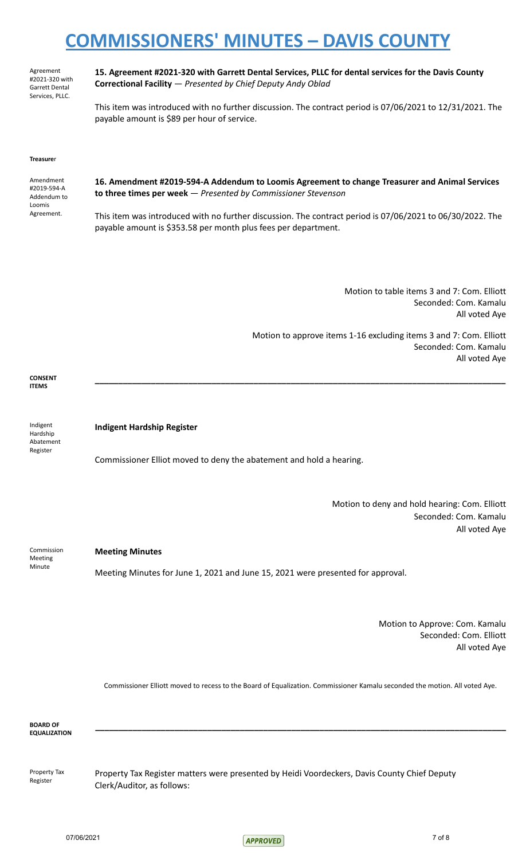Agreement #2021-320 with Garrett Dental Services, PLLC.

**15. Agreement #2021-320 with Garrett Dental Services, PLLC for dental services for the Davis County Correctional Facility** — *Presented by Chief Deputy Andy Oblad*

This item was introduced with no further discussion. The contract period is 07/06/2021 to 12/31/2021. The payable amount is \$89 per hour of service.

**\_\_\_\_\_\_\_\_\_\_\_\_\_\_\_\_\_\_\_\_\_\_\_\_\_\_\_\_\_\_\_\_\_\_\_\_\_\_\_\_\_\_\_\_\_\_\_\_\_\_\_\_\_\_\_\_\_\_\_\_\_\_\_\_\_\_\_\_\_\_\_\_\_\_\_\_\_\_\_\_\_\_\_\_\_\_\_\_**

#### **Treasure**r

| Amendment<br>#2019-594-A<br>Addendum to<br>Loomis | 16. Amendment #2019-594-A Addendum to Loomis Agreement to change Treasurer and Animal Services<br>to three times per week $-$ Presented by Commissioner Stevenson           |
|---------------------------------------------------|-----------------------------------------------------------------------------------------------------------------------------------------------------------------------------|
| Agreement.                                        | This item was introduced with no further discussion. The contract period is 07/06/2021 to 06/30/2022. The<br>payable amount is \$353.58 per month plus fees per department. |

Motion to table items 3 and 7: Com. Elliott Seconded: Com. Kamalu All voted Aye

Motion to approve items 1-16 excluding items 3 and 7: Com. Elliott Seconded: Com. Kamalu All voted Aye

**CONSENT ITEMS**

Indigent Hardship Abatement Register

**Indigent Hardship Register**

Commissioner Elliot moved to deny the abatement and hold a hearing.

Motion to deny and hold hearing: Com. Elliott Seconded: Com. Kamalu All voted Aye

Commission Meeting Minute

### **Meeting Minutes**

Meeting Minutes for June 1, 2021 and June 15, 2021 were presented for approval.

Motion to Approve: Com. Kamalu Seconded: Com. Elliott All voted Aye

Commissioner Elliott moved to recess to the Board of Equalization. Commissioner Kamalu seconded the motion. All voted Aye.

**\_\_\_\_\_\_\_\_\_\_\_\_\_\_\_\_\_\_\_\_\_\_\_\_\_\_\_\_\_\_\_\_\_\_\_\_\_\_\_\_\_\_\_\_\_\_\_\_\_\_\_\_\_\_\_\_\_\_\_\_\_\_\_\_\_\_\_\_\_\_\_\_\_\_\_\_\_\_\_\_\_\_\_\_\_\_\_\_**

**BOARD OF EQUALIZATION**

Property Tax Register

Property Tax Register matters were presented by Heidi Voordeckers, Davis County Chief Deputy Clerk/Auditor, as follows: